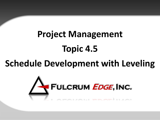# **Project Management Topic 4.5**

# **Schedule Development with Leveling**

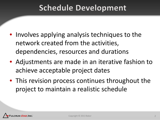#### **Schedule Development**

- Involves applying analysis techniques to the network created from the activities, dependencies, resources and durations
- Adjustments are made in an iterative fashion to achieve acceptable project dates
- This revision process continues throughout the project to maintain a realistic schedule

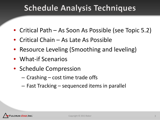### **Schedule Analysis Techniques**

- Critical Path As Soon As Possible (see Topic 5.2)
- Critical Chain As Late As Possible
- Resource Leveling (Smoothing and leveling)
- What-if Scenarios
- Schedule Compression
	- Crashing cost time trade offs
	- Fast Tracking sequenced items in parallel

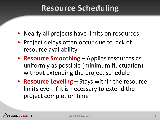#### **Resource Scheduling**

- Nearly all projects have limits on resources
- Project delays often occur due to lack of resource availability
- **Resource Smoothing**  Applies resources as uniformly as possible (minimum fluctuation) without extending the project schedule
- **Resource Leveling**  Stays within the resource limits even if it is necessary to extend the project completion time

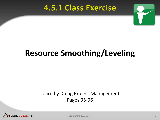#### **4.5.1 Class Exercise**



# **Resource Smoothing/Leveling**

#### Learn by Doing Project Management Pages 95-96



Copyright © 2013 Baker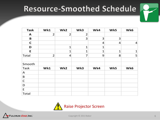## Resource-Smoothed Schedule

| <b>Task</b>  | Wk1            | Wk2            | Wk3            | Wk4            | Wk5            | Wk6            |
|--------------|----------------|----------------|----------------|----------------|----------------|----------------|
| A            | $\overline{2}$ | $\overline{2}$ | $\overline{2}$ |                |                |                |
| $\mathbf B$  |                |                | 3              | 3              | 3              |                |
| $\mathbf C$  |                |                |                | $\overline{4}$ | $\overline{4}$ | $\overline{4}$ |
| D            |                | $\mathbf{1}$   | $\mathbf{1}$   | $\mathbf{1}$   |                |                |
| E            |                | $\mathbf{1}$   | $\mathbf{1}$   | $\mathbf{1}$   | $\mathbf{1}$   | $\mathbf{1}$   |
| Total        | $\overline{2}$ | $\overline{4}$ | $\overline{7}$ | 9              | 8              | 5              |
|              |                |                |                |                |                |                |
| Smooth       |                |                |                |                |                |                |
| <b>Task</b>  | Wk1            | Wk2            | Wk3            | Wk4            | Wk5            | Wk6            |
| A            |                |                |                |                |                |                |
| B            |                |                |                |                |                |                |
| $\mathsf{C}$ |                |                |                |                |                |                |
| D            |                |                |                |                |                |                |
| E            |                |                |                |                |                |                |
| Total        |                |                |                |                |                |                |



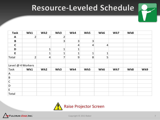### Resource-Leveled Schedule

| <b>Task</b>       | Wk1            | Wk2             | Wk3          | Wk4            | Wk5             | Wk6            | Wk7 | Wk8 |     |
|-------------------|----------------|-----------------|--------------|----------------|-----------------|----------------|-----|-----|-----|
| $\mathbf{A}$      | 2              | $\overline{2}$  | 2            |                |                 |                |     |     |     |
| $\pmb B$          |                |                 | 3            | 3              | 3               |                |     |     |     |
| $\mathbf C$       |                |                 |              | $\overline{4}$ | $\vert 4 \vert$ | $\overline{a}$ |     |     |     |
| D                 |                | $\mathbf{1}$    | $\mathbf{1}$ | $\mathbf{1}$   |                 |                |     |     |     |
| E                 |                | $\mathbf{1}$    |              | 1              | 1               | $\mathbf{1}$   |     |     |     |
| Total             | $\overline{2}$ | $\vert 4 \vert$ | 7            | $\overline{9}$ | $\mathbf{8}$    | 5              |     |     |     |
|                   |                |                 |              |                |                 |                |     |     |     |
| Level @ 4 Workers |                |                 |              |                |                 |                |     |     |     |
| <b>Task</b>       | Wk1            | Wk2             | Wk3          | Wk4            | Wk5             | Wk6            | Wk7 | Wk8 | Wk9 |
| A                 |                |                 |              |                |                 |                |     |     |     |
| B                 |                |                 |              |                |                 |                |     |     |     |
| $\mathsf{C}$      |                |                 |              |                |                 |                |     |     |     |
| $\mathsf D$       |                |                 |              |                |                 |                |     |     |     |
| E                 |                |                 |              |                |                 |                |     |     |     |
| Total             |                |                 |              |                |                 |                |     |     |     |



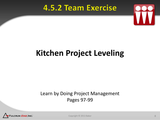#### **4.5.2 Team Exercise**



# **Kitchen Project Leveling**

#### Learn by Doing Project Management Pages 97-99



Copyright © 2013 Baker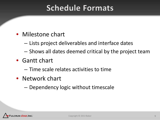#### **Schedule Formats**

- Milestone chart
	- Lists project deliverables and interface dates
	- Shows all dates deemed critical by the project team
- Gantt chart
	- Time scale relates activities to time
- Network chart
	- Dependency logic without timescale

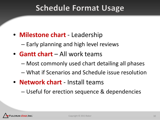#### **Schedule Format Usage**

• **Milestone chart** - Leadership

– Early planning and high level reviews

- **Gantt chart**  All work teams
	- Most commonly used chart detailing all phases
	- What if Scenarios and Schedule issue resolution
- **Network chart**  Install teams

– Useful for erection sequence & dependencies

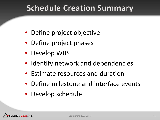#### **Schedule Creation Summary**

- Define project objective
- Define project phases
- Develop WBS
- Identify network and dependencies
- Estimate resources and duration
- Define milestone and interface events
- Develop schedule